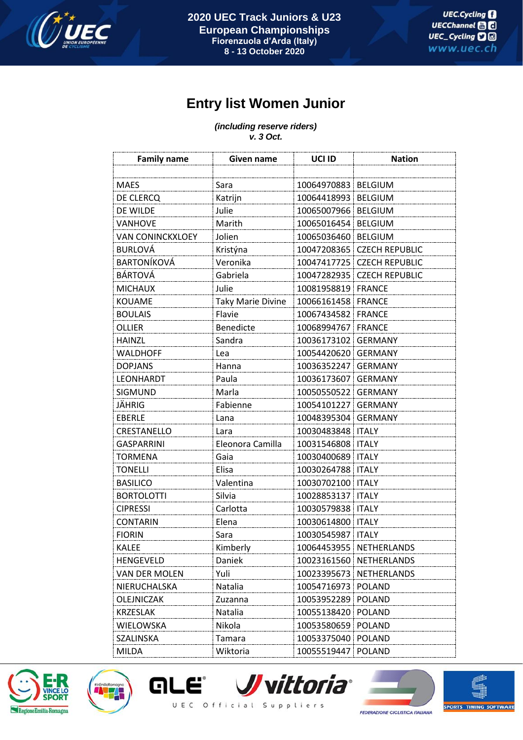

## **Entry list Women Junior**

## *(including reserve riders) v. 3 Oct.*

| <b>Family name</b>      | Given name               | UCI ID                | <b>Nation</b>           |
|-------------------------|--------------------------|-----------------------|-------------------------|
|                         |                          |                       |                         |
| <b>MAES</b>             | Sara                     | 10064970883   BELGIUM |                         |
| DE CLERCQ               | Katrijn                  | 10064418993   BELGIUM |                         |
| DE WILDE                | Julie                    | 10065007966           | <b>BELGIUM</b>          |
| <b>VANHOVE</b>          | Marith                   | 10065016454           | <b>BELGIUM</b>          |
| <b>VAN CONINCKXLOEY</b> | Jolien                   | 10065036460   BELGIUM |                         |
| <b>BURLOVÁ</b>          | Kristýna                 | 10047208365           | <b>CZECH REPUBLIC</b>   |
| <b>BARTONÍKOVÁ</b>      | Veronika                 | 10047417725           | <b>CZECH REPUBLIC</b>   |
| <b>BÁRTOVÁ</b>          | Gabriela                 | 10047282935           | <b>CZECH REPUBLIC</b>   |
| <b>MICHAUX</b>          | Julie                    | 10081958819 FRANCE    |                         |
| KOUAME                  | <b>Taky Marie Divine</b> | 10066161458           | <b>FRANCE</b>           |
| <b>BOULAIS</b>          | Flavie                   | 10067434582 FRANCE    |                         |
| <b>OLLIER</b>           | Benedicte                | 10068994767           | <b>FRANCE</b>           |
| <b>HAINZL</b>           | Sandra                   | 10036173102           | <b>GERMANY</b>          |
| <b>WALDHOFF</b>         | Lea                      | 10054420620           | <b>GERMANY</b>          |
| <b>DOPJANS</b>          | Hanna                    | 10036352247           | <b>GERMANY</b>          |
| <b>LEONHARDT</b>        | Paula                    | 10036173607           | <b>GERMANY</b>          |
| <b>SIGMUND</b>          | Marla                    | 10050550522           | <b>GERMANY</b>          |
| JÄHRIG                  | Fabienne                 | 10054101227           | <b>GERMANY</b>          |
| <b>EBERLE</b>           | Lana                     | 10048395304           | <b>GERMANY</b>          |
| CRESTANELLO             | Lara                     | 10030483848   ITALY   |                         |
| <b>GASPARRINI</b>       | Eleonora Camilla         | 10031546808           | <b>ITALY</b>            |
| <b>TORMENA</b>          | Gaia                     | 10030400689   ITALY   |                         |
| <b>TONELLI</b>          | Elisa                    | 10030264788   ITALY   |                         |
| <b>BASILICO</b>         | Valentina                | 10030702100   ITALY   |                         |
| <b>BORTOLOTTI</b>       | Silvia                   | 10028853137           | <b>ITALY</b>            |
| <b>CIPRESSI</b>         | Carlotta                 | 10030579838 ITALY     |                         |
| <b>CONTARIN</b>         | Elena                    | 10030614800   ITALY   |                         |
| <b>FIORIN</b>           | Sara                     | 10030545987 TALY      |                         |
| <b>KALEE</b>            | Kimberly                 |                       | 10064453955 NETHERLANDS |
| <b>HENGEVELD</b>        | <b>Daniek</b>            |                       | 10023161560 NETHERLANDS |
| VAN DER MOLEN           | Yuli                     |                       | 10023395673 NETHERLANDS |
| NIERUCHALSKA            | Natalia                  | 10054716973 POLAND    |                         |
| OLEJNICZAK              | Zuzanna                  | 10053952289 POLAND    |                         |
| <b>KRZESLAK</b>         | Natalia                  | 10055138420 POLAND    |                         |
| WIELOWSKA               | Nikola                   | 10053580659 POLAND    |                         |
| <b>SZALINSKA</b>        | Tamara                   | 10053375040 POLAND    |                         |
| <b>MILDA</b>            | Wiktoria                 | 10055519447 POLAND    |                         |





*JJvittoria* **GLE** UEC Official Suppliers



臨